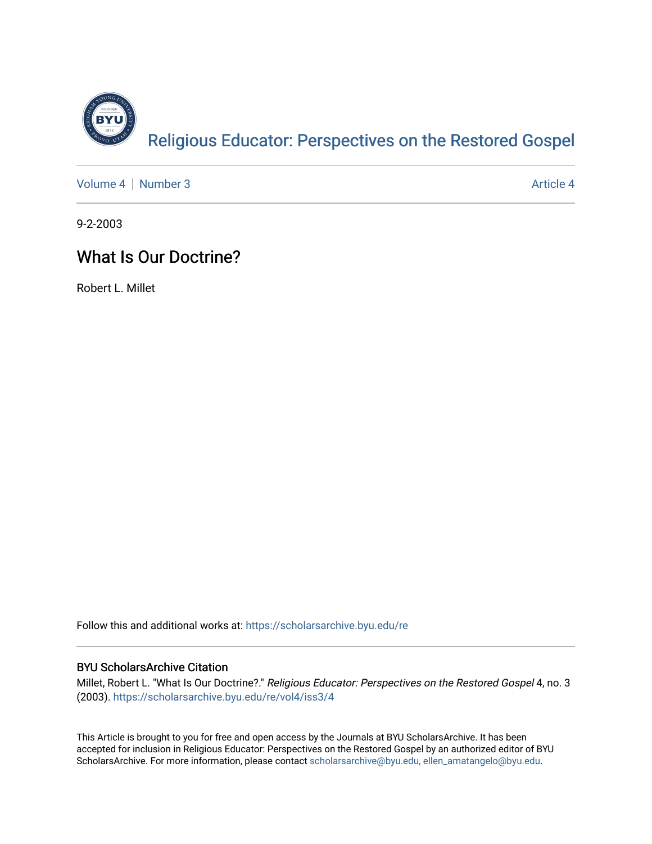

[Volume 4](https://scholarsarchive.byu.edu/re/vol4) | [Number 3](https://scholarsarchive.byu.edu/re/vol4/iss3) Article 4

9-2-2003

# What Is Our Doctrine?

Robert L. Millet

Follow this and additional works at: [https://scholarsarchive.byu.edu/re](https://scholarsarchive.byu.edu/re?utm_source=scholarsarchive.byu.edu%2Fre%2Fvol4%2Fiss3%2F4&utm_medium=PDF&utm_campaign=PDFCoverPages)

## BYU ScholarsArchive Citation

Millet, Robert L. "What Is Our Doctrine?." Religious Educator: Perspectives on the Restored Gospel 4, no. 3 (2003). [https://scholarsarchive.byu.edu/re/vol4/iss3/4](https://scholarsarchive.byu.edu/re/vol4/iss3/4?utm_source=scholarsarchive.byu.edu%2Fre%2Fvol4%2Fiss3%2F4&utm_medium=PDF&utm_campaign=PDFCoverPages) 

This Article is brought to you for free and open access by the Journals at BYU ScholarsArchive. It has been accepted for inclusion in Religious Educator: Perspectives on the Restored Gospel by an authorized editor of BYU ScholarsArchive. For more information, please contact [scholarsarchive@byu.edu, ellen\\_amatangelo@byu.edu.](mailto:scholarsarchive@byu.edu,%20ellen_amatangelo@byu.edu)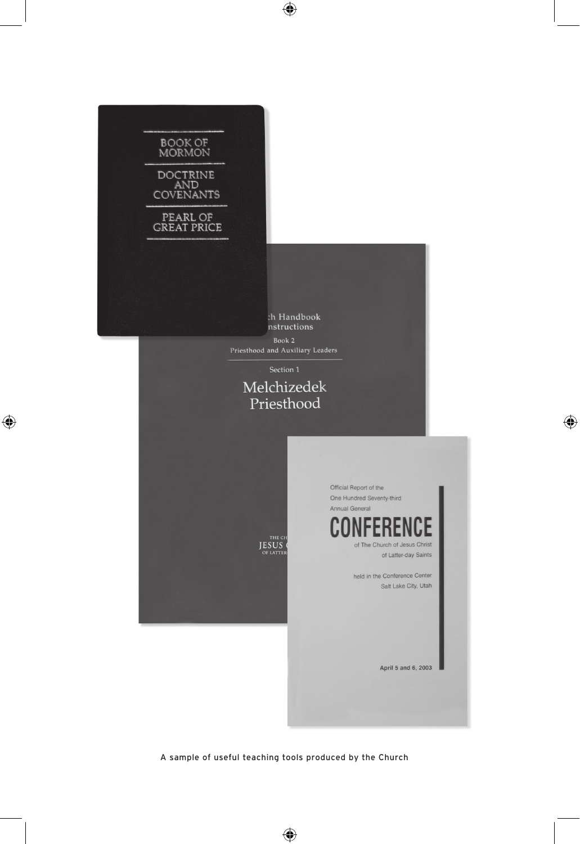

A sample of useful teaching tools produced by the Church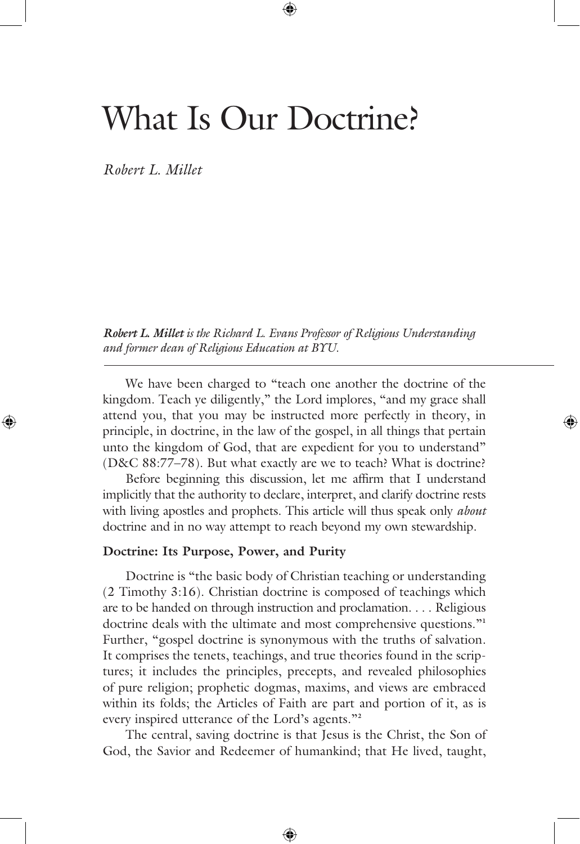# What Is Our Doctrine?

*Robert L. Millet*

*Robert L. Millet is the Richard L. Evans Professor of Religious Understanding and former dean of Religious Education at BYU.*

 We have been charged to "teach one another the doctrine of the kingdom. Teach ye diligently," the Lord implores, "and my grace shall attend you, that you may be instructed more perfectly in theory, in principle, in doctrine, in the law of the gospel, in all things that pertain unto the kingdom of God, that are expedient for you to understand" (D&C 88:77–78). But what exactly are we to teach? What is doctrine?

 Before beginning this discussion, let me affirm that I understand implicitly that the authority to declare, interpret, and clarify doctrine rests with living apostles and prophets. This article will thus speak only *about* doctrine and in no way attempt to reach beyond my own stewardship.

#### **Doctrine: Its Purpose, Power, and Purity**

 Doctrine is "the basic body of Christian teaching or understanding (2 Timothy 3:16). Christian doctrine is composed of teachings which are to be handed on through instruction and proclamation. . . . Religious doctrine deals with the ultimate and most comprehensive questions."**<sup>1</sup>** Further, "gospel doctrine is synonymous with the truths of salvation. It comprises the tenets, teachings, and true theories found in the scriptures; it includes the principles, precepts, and revealed philosophies of pure religion; prophetic dogmas, maxims, and views are embraced within its folds; the Articles of Faith are part and portion of it, as is every inspired utterance of the Lord's agents."**<sup>2</sup>**

 The central, saving doctrine is that Jesus is the Christ, the Son of God, the Savior and Redeemer of humankind; that He lived, taught,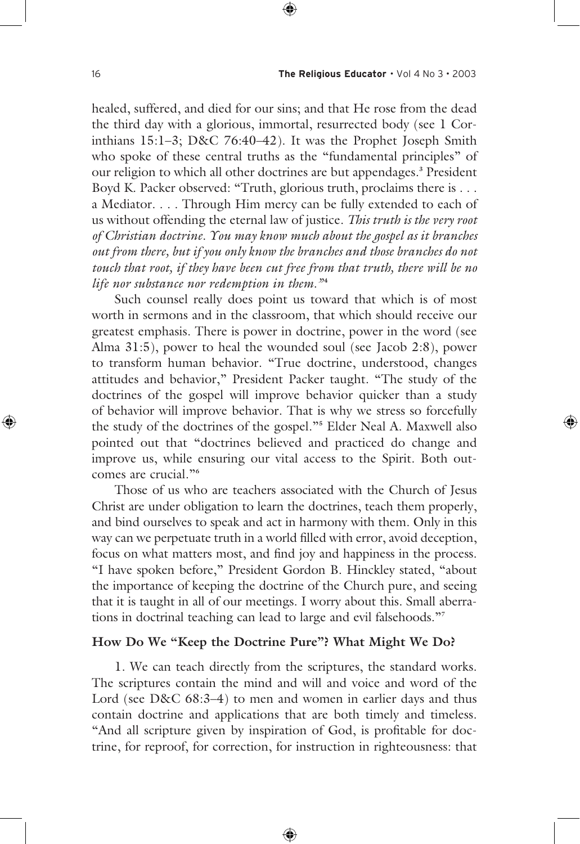healed, suffered, and died for our sins; and that He rose from the dead the third day with a glorious, immortal, resurrected body (see 1 Corinthians 15:1–3; D&C 76:40–42). It was the Prophet Joseph Smith who spoke of these central truths as the "fundamental principles" of our religion to which all other doctrines are but appendages.<sup>3</sup> President Boyd K. Packer observed: "Truth, glorious truth, proclaims there is . . . a Mediator. . . . Through Him mercy can be fully extended to each of us without offending the eternal law of justice. *This truth is the very root of Christian doctrine. You may know much about the gospel as it branches out from there, but if you only know the branches and those branches do not touch that root, if they have been cut free from that truth, there will be no life nor substance nor redemption in them."* **<sup>4</sup>**

 Such counsel really does point us toward that which is of most worth in sermons and in the classroom, that which should receive our greatest emphasis. There is power in doctrine, power in the word (see Alma 31:5), power to heal the wounded soul (see Jacob 2:8), power to transform human behavior. "True doctrine, understood, changes attitudes and behavior," President Packer taught. "The study of the doctrines of the gospel will improve behavior quicker than a study of behavior will improve behavior. That is why we stress so forcefully the study of the doctrines of the gospel."**<sup>5</sup>** Elder Neal A. Maxwell also pointed out that "doctrines believed and practiced do change and improve us, while ensuring our vital access to the Spirit. Both outcomes are crucial."**<sup>6</sup>**

 Those of us who are teachers associated with the Church of Jesus Christ are under obligation to learn the doctrines, teach them properly, and bind ourselves to speak and act in harmony with them. Only in this way can we perpetuate truth in a world filled with error, avoid deception, focus on what matters most, and find joy and happiness in the process. "I have spoken before," President Gordon B. Hinckley stated, "about the importance of keeping the doctrine of the Church pure, and seeing that it is taught in all of our meetings. I worry about this. Small aberrations in doctrinal teaching can lead to large and evil falsehoods."**<sup>7</sup>**

#### **How Do We "Keep the Doctrine Pure"? What Might We Do?**

 1. We can teach directly from the scriptures, the standard works. The scriptures contain the mind and will and voice and word of the Lord (see D&C 68:3–4) to men and women in earlier days and thus contain doctrine and applications that are both timely and timeless. "And all scripture given by inspiration of God, is profitable for doctrine, for reproof, for correction, for instruction in righteousness: that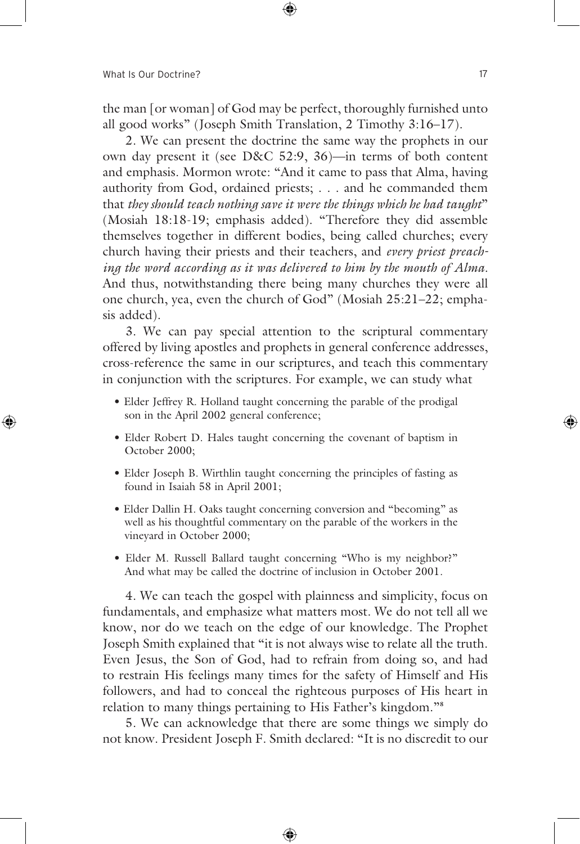the man [or woman] of God may be perfect, thoroughly furnished unto all good works" (Joseph Smith Translation, 2 Timothy 3:16–17).

 2. We can present the doctrine the same way the prophets in our own day present it (see D&C 52:9, 36)—in terms of both content and emphasis. Mormon wrote: "And it came to pass that Alma, having authority from God, ordained priests; . . . and he commanded them that *they should teach nothing save it were the things which he had taught*" (Mosiah 18:18-19; emphasis added). "Therefore they did assemble themselves together in different bodies, being called churches; every church having their priests and their teachers, and *every priest preaching the word according as it was delivered to him by the mouth of Alma.* And thus, notwithstanding there being many churches they were all one church, yea, even the church of God" (Mosiah 25:21–22; emphasis added).

 3. We can pay special attention to the scriptural commentary offered by living apostles and prophets in general conference addresses, cross-reference the same in our scriptures, and teach this commentary in conjunction with the scriptures. For example, we can study what

- Elder Jeffrey R. Holland taught concerning the parable of the prodigal son in the April 2002 general conference;
- Elder Robert D. Hales taught concerning the covenant of baptism in October 2000;
- Elder Joseph B. Wirthlin taught concerning the principles of fasting as found in Isaiah 58 in April 2001;
- Elder Dallin H. Oaks taught concerning conversion and "becoming" as well as his thoughtful commentary on the parable of the workers in the vineyard in October 2000;
- Elder M. Russell Ballard taught concerning "Who is my neighbor?" And what may be called the doctrine of inclusion in October 2001.

 4. We can teach the gospel with plainness and simplicity, focus on fundamentals, and emphasize what matters most. We do not tell all we know, nor do we teach on the edge of our knowledge. The Prophet Joseph Smith explained that "it is not always wise to relate all the truth. Even Jesus, the Son of God, had to refrain from doing so, and had to restrain His feelings many times for the safety of Himself and His followers, and had to conceal the righteous purposes of His heart in relation to many things pertaining to His Father's kingdom."**<sup>8</sup>**

 5. We can acknowledge that there are some things we simply do not know. President Joseph F. Smith declared: "It is no discredit to our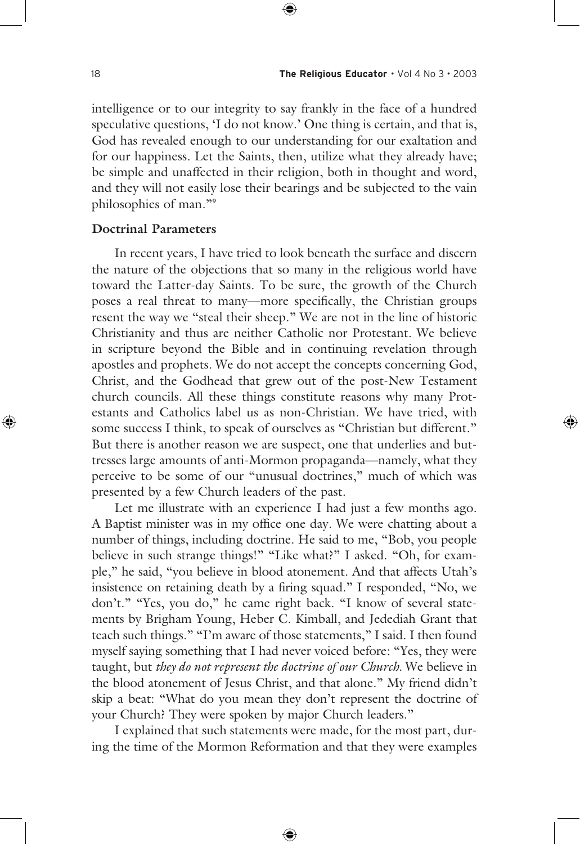intelligence or to our integrity to say frankly in the face of a hundred speculative questions, 'I do not know.' One thing is certain, and that is, God has revealed enough to our understanding for our exaltation and for our happiness. Let the Saints, then, utilize what they already have; be simple and unaffected in their religion, both in thought and word, and they will not easily lose their bearings and be subjected to the vain philosophies of man."**<sup>9</sup>**

## **Doctrinal Parameters**

 In recent years, I have tried to look beneath the surface and discern the nature of the objections that so many in the religious world have toward the Latter-day Saints. To be sure, the growth of the Church poses a real threat to many—more specifically, the Christian groups resent the way we "steal their sheep." We are not in the line of historic Christianity and thus are neither Catholic nor Protestant. We believe in scripture beyond the Bible and in continuing revelation through apostles and prophets. We do not accept the concepts concerning God, Christ, and the Godhead that grew out of the post-New Testament church councils. All these things constitute reasons why many Protestants and Catholics label us as non-Christian. We have tried, with some success I think, to speak of ourselves as "Christian but different." But there is another reason we are suspect, one that underlies and buttresses large amounts of anti-Mormon propaganda—namely, what they perceive to be some of our "unusual doctrines," much of which was presented by a few Church leaders of the past.

 Let me illustrate with an experience I had just a few months ago. A Baptist minister was in my office one day. We were chatting about a number of things, including doctrine. He said to me, "Bob, you people believe in such strange things!" "Like what?" I asked. "Oh, for example," he said, "you believe in blood atonement. And that affects Utah's insistence on retaining death by a firing squad." I responded, "No, we don't." "Yes, you do," he came right back. "I know of several statements by Brigham Young, Heber C. Kimball, and Jedediah Grant that teach such things." "I'm aware of those statements," I said. I then found myself saying something that I had never voiced before: "Yes, they were taught, but *they do not represent the doctrine of our Church.* We believe in the blood atonement of Jesus Christ, and that alone." My friend didn't skip a beat: "What do you mean they don't represent the doctrine of your Church? They were spoken by major Church leaders."

 I explained that such statements were made, for the most part, during the time of the Mormon Reformation and that they were examples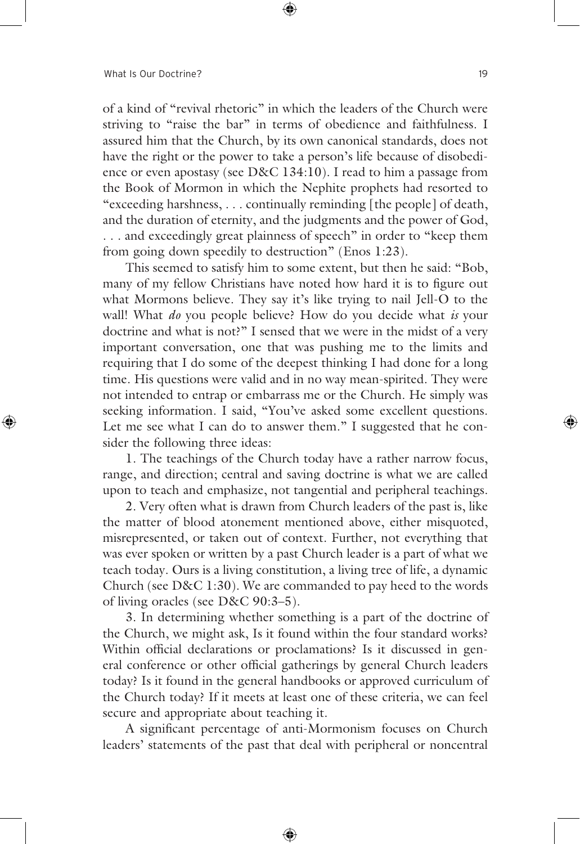of a kind of "revival rhetoric" in which the leaders of the Church were striving to "raise the bar" in terms of obedience and faithfulness. I assured him that the Church, by its own canonical standards, does not have the right or the power to take a person's life because of disobedience or even apostasy (see D&C 134:10). I read to him a passage from the Book of Mormon in which the Nephite prophets had resorted to "exceeding harshness, . . . continually reminding [the people] of death, and the duration of eternity, and the judgments and the power of God, . . . and exceedingly great plainness of speech" in order to "keep them from going down speedily to destruction" (Enos 1:23).

 This seemed to satisfy him to some extent, but then he said: "Bob, many of my fellow Christians have noted how hard it is to figure out what Mormons believe. They say it's like trying to nail Jell-O to the wall! What *do* you people believe? How do you decide what *is* your doctrine and what is not?" I sensed that we were in the midst of a very important conversation, one that was pushing me to the limits and requiring that I do some of the deepest thinking I had done for a long time. His questions were valid and in no way mean-spirited. They were not intended to entrap or embarrass me or the Church. He simply was seeking information. I said, "You've asked some excellent questions. Let me see what I can do to answer them." I suggested that he consider the following three ideas:

 1. The teachings of the Church today have a rather narrow focus, range, and direction; central and saving doctrine is what we are called upon to teach and emphasize, not tangential and peripheral teachings.

 2. Very often what is drawn from Church leaders of the past is, like the matter of blood atonement mentioned above, either misquoted, misrepresented, or taken out of context. Further, not everything that was ever spoken or written by a past Church leader is a part of what we teach today. Ours is a living constitution, a living tree of life, a dynamic Church (see D&C 1:30). We are commanded to pay heed to the words of living oracles (see D&C 90:3–5).

 3. In determining whether something is a part of the doctrine of the Church, we might ask, Is it found within the four standard works? Within official declarations or proclamations? Is it discussed in general conference or other official gatherings by general Church leaders today? Is it found in the general handbooks or approved curriculum of the Church today? If it meets at least one of these criteria, we can feel secure and appropriate about teaching it.

 A significant percentage of anti-Mormonism focuses on Church leaders' statements of the past that deal with peripheral or noncentral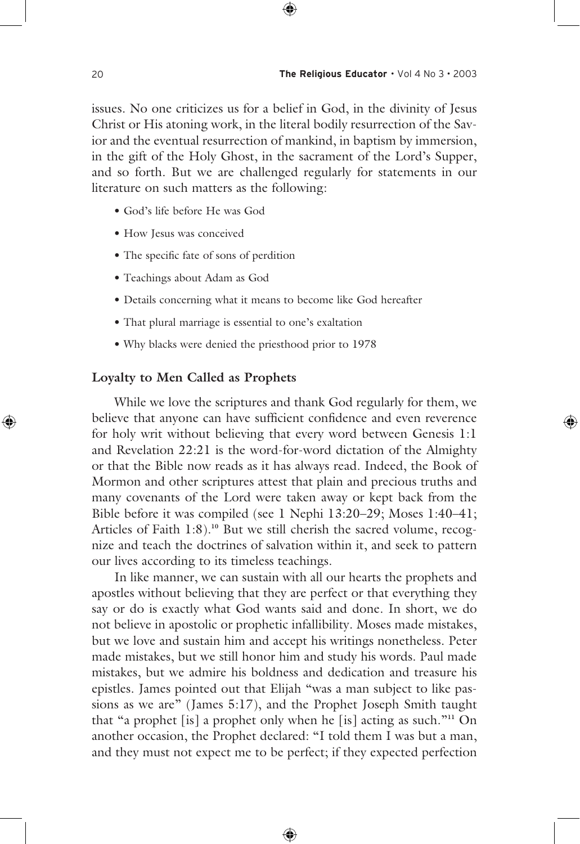issues. No one criticizes us for a belief in God, in the divinity of Jesus Christ or His atoning work, in the literal bodily resurrection of the Savior and the eventual resurrection of mankind, in baptism by immersion, in the gift of the Holy Ghost, in the sacrament of the Lord's Supper, and so forth. But we are challenged regularly for statements in our literature on such matters as the following:

- God's life before He was God
- How Jesus was conceived
- The specific fate of sons of perdition
- Teachings about Adam as God
- Details concerning what it means to become like God hereafter
- That plural marriage is essential to one's exaltation
- Why blacks were denied the priesthood prior to 1978

#### **Loyalty to Men Called as Prophets**

 While we love the scriptures and thank God regularly for them, we believe that anyone can have sufficient confidence and even reverence for holy writ without believing that every word between Genesis 1:1 and Revelation 22:21 is the word-for-word dictation of the Almighty or that the Bible now reads as it has always read. Indeed, the Book of Mormon and other scriptures attest that plain and precious truths and many covenants of the Lord were taken away or kept back from the Bible before it was compiled (see 1 Nephi 13:20–29; Moses 1:40–41; Articles of Faith 1:8).**10** But we still cherish the sacred volume, recognize and teach the doctrines of salvation within it, and seek to pattern our lives according to its timeless teachings.

 In like manner, we can sustain with all our hearts the prophets and apostles without believing that they are perfect or that everything they say or do is exactly what God wants said and done. In short, we do not believe in apostolic or prophetic infallibility. Moses made mistakes, but we love and sustain him and accept his writings nonetheless. Peter made mistakes, but we still honor him and study his words. Paul made mistakes, but we admire his boldness and dedication and treasure his epistles. James pointed out that Elijah "was a man subject to like passions as we are" (James 5:17), and the Prophet Joseph Smith taught that "a prophet [is] a prophet only when he [is] acting as such."**11** On another occasion, the Prophet declared: "I told them I was but a man, and they must not expect me to be perfect; if they expected perfection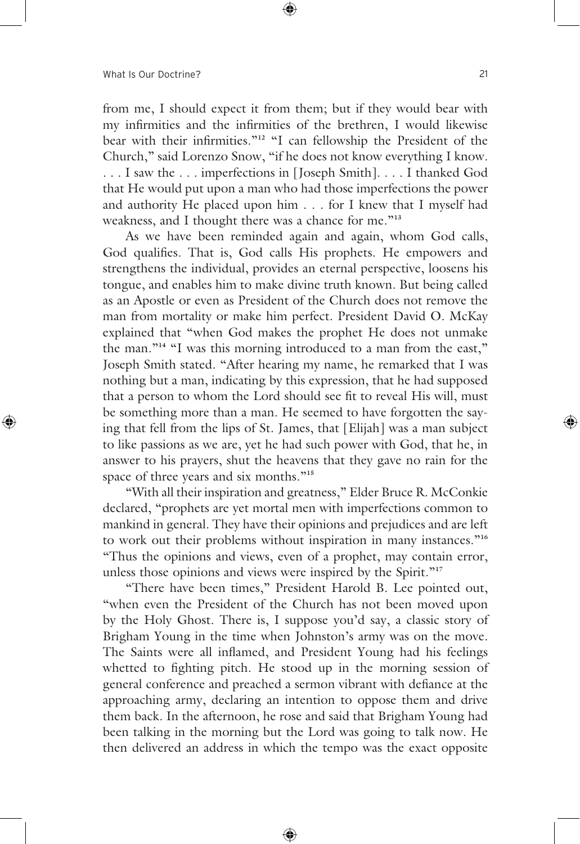from me, I should expect it from them; but if they would bear with my infirmities and the infirmities of the brethren, I would likewise bear with their infirmities."**12** "I can fellowship the President of the Church," said Lorenzo Snow, "if he does not know everything I know. . . . I saw the . . . imperfections in [Joseph Smith]. . . . I thanked God that He would put upon a man who had those imperfections the power and authority He placed upon him . . . for I knew that I myself had weakness, and I thought there was a chance for me."**<sup>13</sup>**

 As we have been reminded again and again, whom God calls, God qualifies. That is, God calls His prophets. He empowers and strengthens the individual, provides an eternal perspective, loosens his tongue, and enables him to make divine truth known. But being called as an Apostle or even as President of the Church does not remove the man from mortality or make him perfect. President David O. McKay explained that "when God makes the prophet He does not unmake the man."**14** "I was this morning introduced to a man from the east," Joseph Smith stated. "After hearing my name, he remarked that I was nothing but a man, indicating by this expression, that he had supposed that a person to whom the Lord should see fit to reveal His will, must be something more than a man. He seemed to have forgotten the saying that fell from the lips of St. James, that [Elijah] was a man subject to like passions as we are, yet he had such power with God, that he, in answer to his prayers, shut the heavens that they gave no rain for the space of three years and six months."**<sup>15</sup>**

 "With all their inspiration and greatness," Elder Bruce R. McConkie declared, "prophets are yet mortal men with imperfections common to mankind in general. They have their opinions and prejudices and are left to work out their problems without inspiration in many instances."**<sup>16</sup>** "Thus the opinions and views, even of a prophet, may contain error, unless those opinions and views were inspired by the Spirit."**<sup>17</sup>**

 "There have been times," President Harold B. Lee pointed out, "when even the President of the Church has not been moved upon by the Holy Ghost. There is, I suppose you'd say, a classic story of Brigham Young in the time when Johnston's army was on the move. The Saints were all inflamed, and President Young had his feelings whetted to fighting pitch. He stood up in the morning session of general conference and preached a sermon vibrant with defiance at the approaching army, declaring an intention to oppose them and drive them back. In the afternoon, he rose and said that Brigham Young had been talking in the morning but the Lord was going to talk now. He then delivered an address in which the tempo was the exact opposite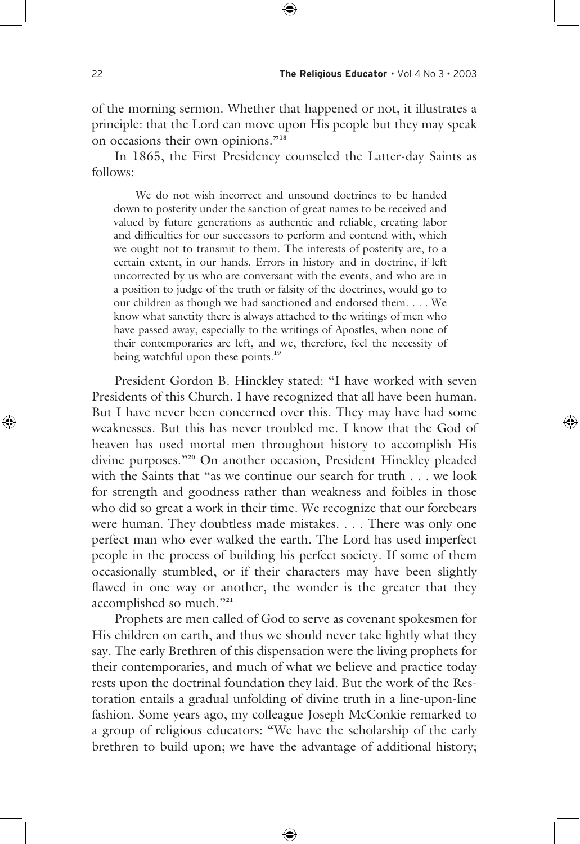of the morning sermon. Whether that happened or not, it illustrates a principle: that the Lord can move upon His people but they may speak on occasions their own opinions."**<sup>18</sup>**

 In 1865, the First Presidency counseled the Latter-day Saints as follows:

 We do not wish incorrect and unsound doctrines to be handed down to posterity under the sanction of great names to be received and valued by future generations as authentic and reliable, creating labor and difficulties for our successors to perform and contend with, which we ought not to transmit to them. The interests of posterity are, to a certain extent, in our hands. Errors in history and in doctrine, if left uncorrected by us who are conversant with the events, and who are in a position to judge of the truth or falsity of the doctrines, would go to our children as though we had sanctioned and endorsed them. . . . We know what sanctity there is always attached to the writings of men who have passed away, especially to the writings of Apostles, when none of their contemporaries are left, and we, therefore, feel the necessity of being watchful upon these points.**<sup>19</sup>**

 President Gordon B. Hinckley stated: "I have worked with seven Presidents of this Church. I have recognized that all have been human. But I have never been concerned over this. They may have had some weaknesses. But this has never troubled me. I know that the God of heaven has used mortal men throughout history to accomplish His divine purposes."**20** On another occasion, President Hinckley pleaded with the Saints that "as we continue our search for truth . . . we look for strength and goodness rather than weakness and foibles in those who did so great a work in their time. We recognize that our forebears were human. They doubtless made mistakes. . . . There was only one perfect man who ever walked the earth. The Lord has used imperfect people in the process of building his perfect society. If some of them occasionally stumbled, or if their characters may have been slightly flawed in one way or another, the wonder is the greater that they accomplished so much."**<sup>21</sup>**

 Prophets are men called of God to serve as covenant spokesmen for His children on earth, and thus we should never take lightly what they say. The early Brethren of this dispensation were the living prophets for their contemporaries, and much of what we believe and practice today rests upon the doctrinal foundation they laid. But the work of the Restoration entails a gradual unfolding of divine truth in a line-upon-line fashion. Some years ago, my colleague Joseph McConkie remarked to a group of religious educators: "We have the scholarship of the early brethren to build upon; we have the advantage of additional history;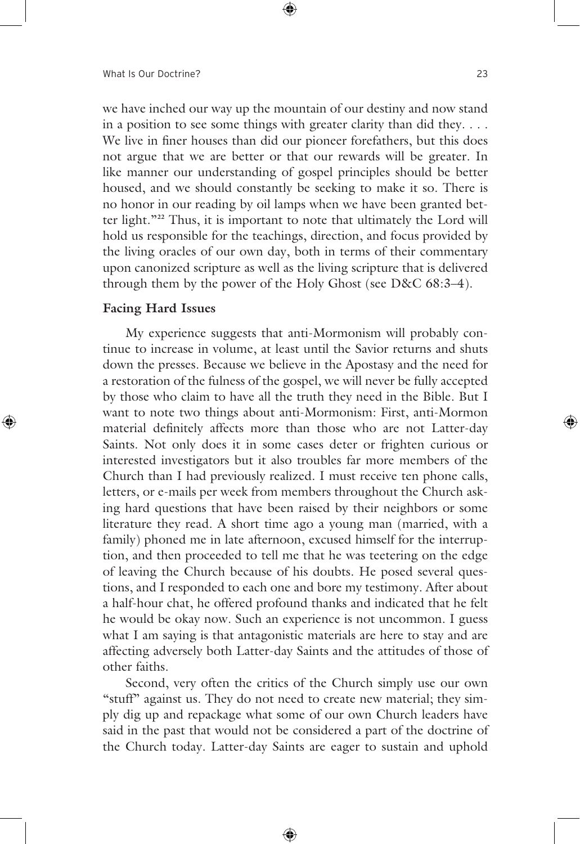we have inched our way up the mountain of our destiny and now stand in a position to see some things with greater clarity than did they. . . . We live in finer houses than did our pioneer forefathers, but this does not argue that we are better or that our rewards will be greater. In like manner our understanding of gospel principles should be better housed, and we should constantly be seeking to make it so. There is no honor in our reading by oil lamps when we have been granted better light."**22** Thus, it is important to note that ultimately the Lord will hold us responsible for the teachings, direction, and focus provided by the living oracles of our own day, both in terms of their commentary upon canonized scripture as well as the living scripture that is delivered through them by the power of the Holy Ghost (see D&C 68:3–4).

#### **Facing Hard Issues**

 My experience suggests that anti-Mormonism will probably continue to increase in volume, at least until the Savior returns and shuts down the presses. Because we believe in the Apostasy and the need for a restoration of the fulness of the gospel, we will never be fully accepted by those who claim to have all the truth they need in the Bible. But I want to note two things about anti-Mormonism: First, anti-Mormon material definitely affects more than those who are not Latter-day Saints. Not only does it in some cases deter or frighten curious or interested investigators but it also troubles far more members of the Church than I had previously realized. I must receive ten phone calls, letters, or e-mails per week from members throughout the Church asking hard questions that have been raised by their neighbors or some literature they read. A short time ago a young man (married, with a family) phoned me in late afternoon, excused himself for the interruption, and then proceeded to tell me that he was teetering on the edge of leaving the Church because of his doubts. He posed several questions, and I responded to each one and bore my testimony. After about a half-hour chat, he offered profound thanks and indicated that he felt he would be okay now. Such an experience is not uncommon. I guess what I am saying is that antagonistic materials are here to stay and are affecting adversely both Latter-day Saints and the attitudes of those of other faiths.

 Second, very often the critics of the Church simply use our own "stuff" against us. They do not need to create new material; they simply dig up and repackage what some of our own Church leaders have said in the past that would not be considered a part of the doctrine of the Church today. Latter-day Saints are eager to sustain and uphold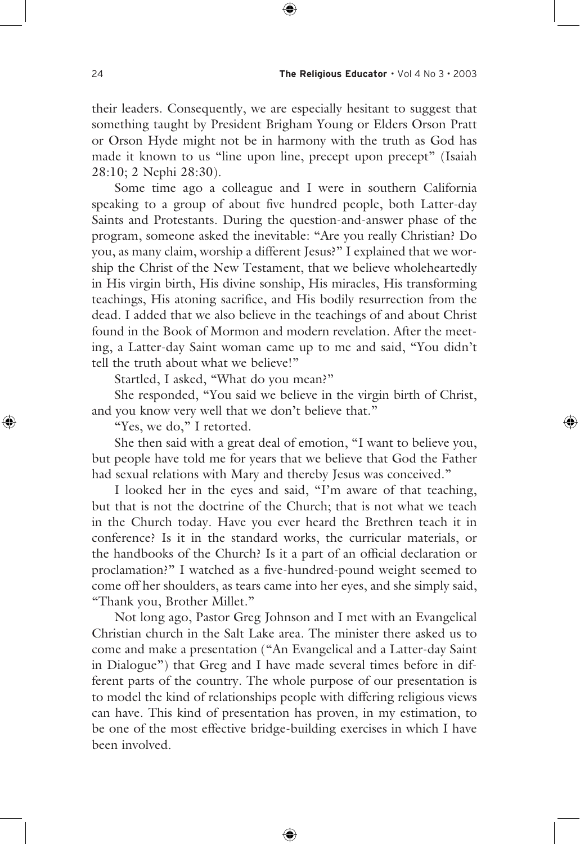their leaders. Consequently, we are especially hesitant to suggest that something taught by President Brigham Young or Elders Orson Pratt or Orson Hyde might not be in harmony with the truth as God has made it known to us "line upon line, precept upon precept" (Isaiah 28:10; 2 Nephi 28:30).

 Some time ago a colleague and I were in southern California speaking to a group of about five hundred people, both Latter-day Saints and Protestants. During the question-and-answer phase of the program, someone asked the inevitable: "Are you really Christian? Do you, as many claim, worship a different Jesus?" I explained that we worship the Christ of the New Testament, that we believe wholeheartedly in His virgin birth, His divine sonship, His miracles, His transforming teachings, His atoning sacrifice, and His bodily resurrection from the dead. I added that we also believe in the teachings of and about Christ found in the Book of Mormon and modern revelation. After the meeting, a Latter-day Saint woman came up to me and said, "You didn't tell the truth about what we believe!"

Startled, I asked, "What do you mean?"

 She responded, "You said we believe in the virgin birth of Christ, and you know very well that we don't believe that."

"Yes, we do," I retorted.

 She then said with a great deal of emotion, "I want to believe you, but people have told me for years that we believe that God the Father had sexual relations with Mary and thereby Jesus was conceived."

 I looked her in the eyes and said, "I'm aware of that teaching, but that is not the doctrine of the Church; that is not what we teach in the Church today. Have you ever heard the Brethren teach it in conference? Is it in the standard works, the curricular materials, or the handbooks of the Church? Is it a part of an official declaration or proclamation?" I watched as a five-hundred-pound weight seemed to come off her shoulders, as tears came into her eyes, and she simply said, "Thank you, Brother Millet."

 Not long ago, Pastor Greg Johnson and I met with an Evangelical Christian church in the Salt Lake area. The minister there asked us to come and make a presentation ("An Evangelical and a Latter-day Saint in Dialogue") that Greg and I have made several times before in different parts of the country. The whole purpose of our presentation is to model the kind of relationships people with differing religious views can have. This kind of presentation has proven, in my estimation, to be one of the most effective bridge-building exercises in which I have been involved.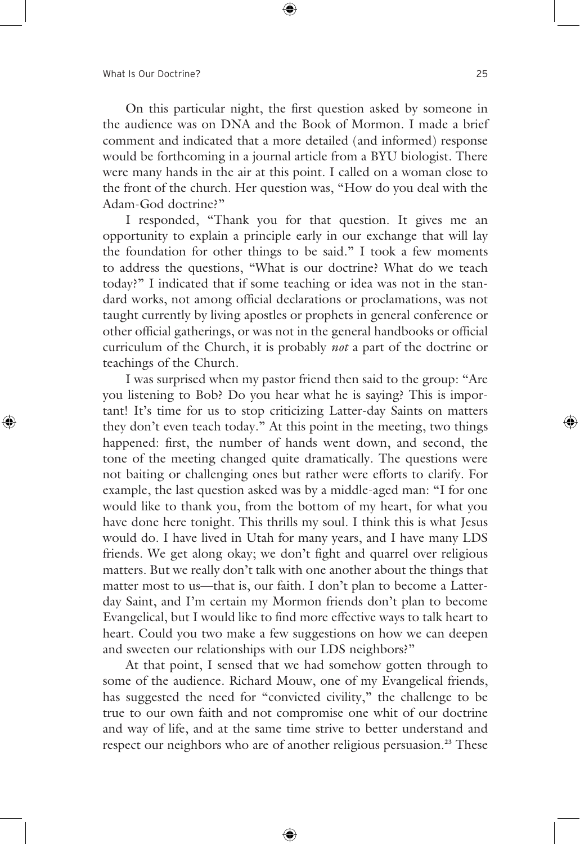On this particular night, the first question asked by someone in the audience was on DNA and the Book of Mormon. I made a brief comment and indicated that a more detailed (and informed) response would be forthcoming in a journal article from a BYU biologist. There were many hands in the air at this point. I called on a woman close to the front of the church. Her question was, "How do you deal with the Adam-God doctrine?"

 I responded, "Thank you for that question. It gives me an opportunity to explain a principle early in our exchange that will lay the foundation for other things to be said." I took a few moments to address the questions, "What is our doctrine? What do we teach today?" I indicated that if some teaching or idea was not in the standard works, not among official declarations or proclamations, was not taught currently by living apostles or prophets in general conference or other official gatherings, or was not in the general handbooks or official curriculum of the Church, it is probably *not* a part of the doctrine or teachings of the Church.

 I was surprised when my pastor friend then said to the group: "Are you listening to Bob? Do you hear what he is saying? This is important! It's time for us to stop criticizing Latter-day Saints on matters they don't even teach today." At this point in the meeting, two things happened: first, the number of hands went down, and second, the tone of the meeting changed quite dramatically. The questions were not baiting or challenging ones but rather were efforts to clarify. For example, the last question asked was by a middle-aged man: "I for one would like to thank you, from the bottom of my heart, for what you have done here tonight. This thrills my soul. I think this is what Jesus would do. I have lived in Utah for many years, and I have many LDS friends. We get along okay; we don't fight and quarrel over religious matters. But we really don't talk with one another about the things that matter most to us—that is, our faith. I don't plan to become a Latterday Saint, and I'm certain my Mormon friends don't plan to become Evangelical, but I would like to find more effective ways to talk heart to heart. Could you two make a few suggestions on how we can deepen and sweeten our relationships with our LDS neighbors?"

 At that point, I sensed that we had somehow gotten through to some of the audience. Richard Mouw, one of my Evangelical friends, has suggested the need for "convicted civility," the challenge to be true to our own faith and not compromise one whit of our doctrine and way of life, and at the same time strive to better understand and respect our neighbors who are of another religious persuasion.**23** These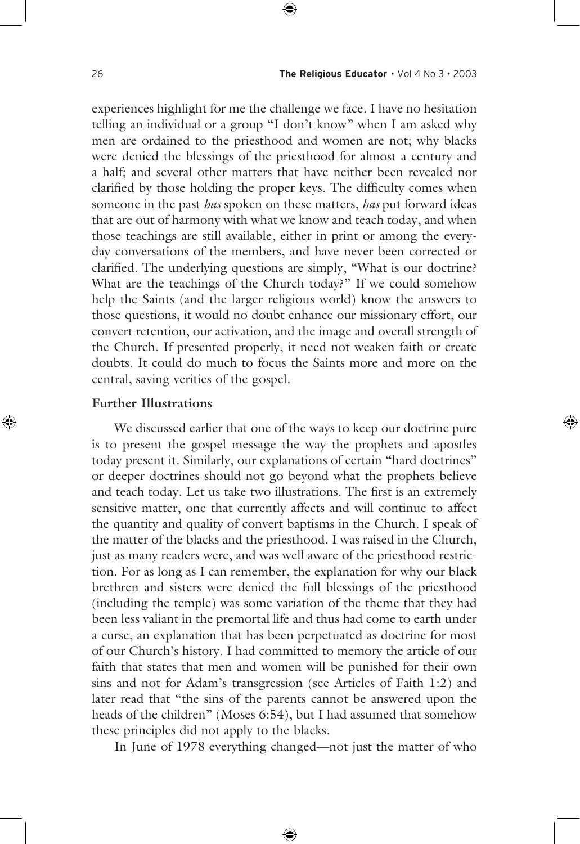experiences highlight for me the challenge we face. I have no hesitation telling an individual or a group "I don't know" when I am asked why men are ordained to the priesthood and women are not; why blacks were denied the blessings of the priesthood for almost a century and a half; and several other matters that have neither been revealed nor clarified by those holding the proper keys. The difficulty comes when someone in the past *has* spoken on these matters, *has* put forward ideas that are out of harmony with what we know and teach today, and when those teachings are still available, either in print or among the everyday conversations of the members, and have never been corrected or clarified. The underlying questions are simply, "What is our doctrine? What are the teachings of the Church today?" If we could somehow help the Saints (and the larger religious world) know the answers to those questions, it would no doubt enhance our missionary effort, our convert retention, our activation, and the image and overall strength of the Church. If presented properly, it need not weaken faith or create doubts. It could do much to focus the Saints more and more on the central, saving verities of the gospel.

#### **Further Illustrations**

 We discussed earlier that one of the ways to keep our doctrine pure is to present the gospel message the way the prophets and apostles today present it. Similarly, our explanations of certain "hard doctrines" or deeper doctrines should not go beyond what the prophets believe and teach today. Let us take two illustrations. The first is an extremely sensitive matter, one that currently affects and will continue to affect the quantity and quality of convert baptisms in the Church. I speak of the matter of the blacks and the priesthood. I was raised in the Church, just as many readers were, and was well aware of the priesthood restriction. For as long as I can remember, the explanation for why our black brethren and sisters were denied the full blessings of the priesthood (including the temple) was some variation of the theme that they had been less valiant in the premortal life and thus had come to earth under a curse, an explanation that has been perpetuated as doctrine for most of our Church's history. I had committed to memory the article of our faith that states that men and women will be punished for their own sins and not for Adam's transgression (see Articles of Faith 1:2) and later read that "the sins of the parents cannot be answered upon the heads of the children" (Moses 6:54), but I had assumed that somehow these principles did not apply to the blacks.

In June of 1978 everything changed—not just the matter of who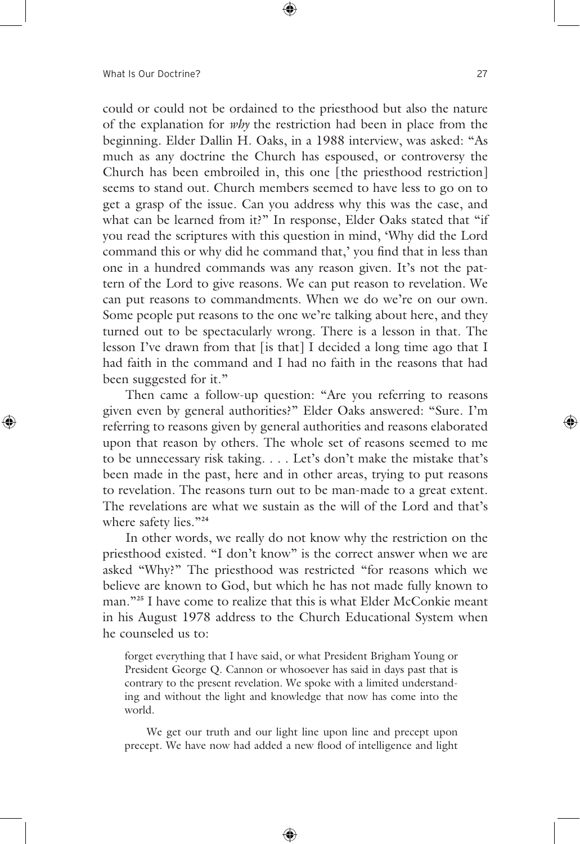could or could not be ordained to the priesthood but also the nature of the explanation for *why* the restriction had been in place from the beginning. Elder Dallin H. Oaks, in a 1988 interview, was asked: "As much as any doctrine the Church has espoused, or controversy the Church has been embroiled in, this one [the priesthood restriction] seems to stand out. Church members seemed to have less to go on to get a grasp of the issue. Can you address why this was the case, and what can be learned from it?" In response, Elder Oaks stated that "if you read the scriptures with this question in mind, 'Why did the Lord command this or why did he command that,' you find that in less than one in a hundred commands was any reason given. It's not the pattern of the Lord to give reasons. We can put reason to revelation. We can put reasons to commandments. When we do we're on our own. Some people put reasons to the one we're talking about here, and they turned out to be spectacularly wrong. There is a lesson in that. The lesson I've drawn from that [is that] I decided a long time ago that I had faith in the command and I had no faith in the reasons that had been suggested for it."

 Then came a follow-up question: "Are you referring to reasons given even by general authorities?" Elder Oaks answered: "Sure. I'm referring to reasons given by general authorities and reasons elaborated upon that reason by others. The whole set of reasons seemed to me to be unnecessary risk taking. . . . Let's don't make the mistake that's been made in the past, here and in other areas, trying to put reasons to revelation. The reasons turn out to be man-made to a great extent. The revelations are what we sustain as the will of the Lord and that's where safety lies."**<sup>24</sup>**

 In other words, we really do not know why the restriction on the priesthood existed. "I don't know" is the correct answer when we are asked "Why?" The priesthood was restricted "for reasons which we believe are known to God, but which he has not made fully known to man."**25** I have come to realize that this is what Elder McConkie meant in his August 1978 address to the Church Educational System when he counseled us to:

forget everything that I have said, or what President Brigham Young or President George Q. Cannon or whosoever has said in days past that is contrary to the present revelation. We spoke with a limited understanding and without the light and knowledge that now has come into the world.

We get our truth and our light line upon line and precept upon precept. We have now had added a new flood of intelligence and light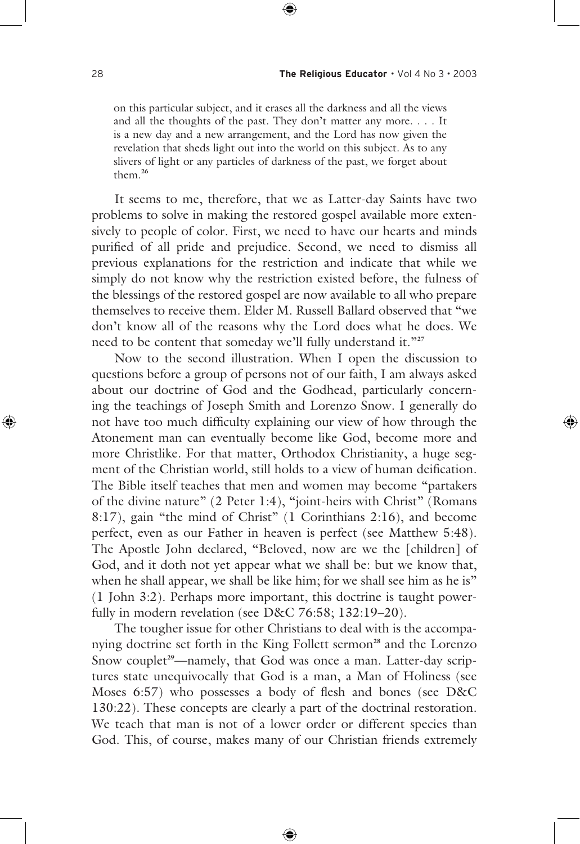on this particular subject, and it erases all the darkness and all the views and all the thoughts of the past. They don't matter any more. . . . It is a new day and a new arrangement, and the Lord has now given the revelation that sheds light out into the world on this subject. As to any slivers of light or any particles of darkness of the past, we forget about them.**<sup>26</sup>**

 It seems to me, therefore, that we as Latter-day Saints have two problems to solve in making the restored gospel available more extensively to people of color. First, we need to have our hearts and minds purified of all pride and prejudice. Second, we need to dismiss all previous explanations for the restriction and indicate that while we simply do not know why the restriction existed before, the fulness of the blessings of the restored gospel are now available to all who prepare themselves to receive them. Elder M. Russell Ballard observed that "we don't know all of the reasons why the Lord does what he does. We need to be content that someday we'll fully understand it."**<sup>27</sup>**

 Now to the second illustration. When I open the discussion to questions before a group of persons not of our faith, I am always asked about our doctrine of God and the Godhead, particularly concerning the teachings of Joseph Smith and Lorenzo Snow. I generally do not have too much difficulty explaining our view of how through the Atonement man can eventually become like God, become more and more Christlike. For that matter, Orthodox Christianity, a huge segment of the Christian world, still holds to a view of human deification. The Bible itself teaches that men and women may become "partakers of the divine nature" (2 Peter 1:4), "joint-heirs with Christ" (Romans 8:17), gain "the mind of Christ" (1 Corinthians 2:16), and become perfect, even as our Father in heaven is perfect (see Matthew 5:48). The Apostle John declared, "Beloved, now are we the [children] of God, and it doth not yet appear what we shall be: but we know that, when he shall appear, we shall be like him; for we shall see him as he is" (1 John 3:2). Perhaps more important, this doctrine is taught powerfully in modern revelation (see D&C 76:58; 132:19–20).

 The tougher issue for other Christians to deal with is the accompanying doctrine set forth in the King Follett sermon<sup>28</sup> and the Lorenzo Snow couplet<sup>29</sup>—namely, that God was once a man. Latter-day scriptures state unequivocally that God is a man, a Man of Holiness (see Moses 6:57) who possesses a body of flesh and bones (see D&C 130:22). These concepts are clearly a part of the doctrinal restoration. We teach that man is not of a lower order or different species than God. This, of course, makes many of our Christian friends extremely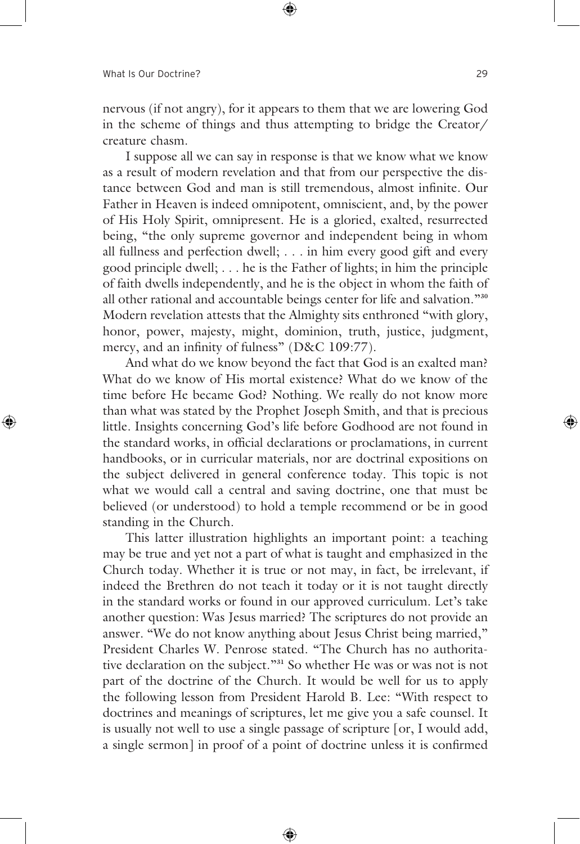nervous (if not angry), for it appears to them that we are lowering God in the scheme of things and thus attempting to bridge the Creator/ creature chasm.

 I suppose all we can say in response is that we know what we know as a result of modern revelation and that from our perspective the distance between God and man is still tremendous, almost infinite. Our Father in Heaven is indeed omnipotent, omniscient, and, by the power of His Holy Spirit, omnipresent. He is a gloried, exalted, resurrected being, "the only supreme governor and independent being in whom all fullness and perfection dwell; . . . in him every good gift and every good principle dwell; . . . he is the Father of lights; in him the principle of faith dwells independently, and he is the object in whom the faith of all other rational and accountable beings center for life and salvation."**<sup>30</sup>** Modern revelation attests that the Almighty sits enthroned "with glory, honor, power, majesty, might, dominion, truth, justice, judgment, mercy, and an infinity of fulness" (D&C 109:77).

 And what do we know beyond the fact that God is an exalted man? What do we know of His mortal existence? What do we know of the time before He became God? Nothing. We really do not know more than what was stated by the Prophet Joseph Smith, and that is precious little. Insights concerning God's life before Godhood are not found in the standard works, in official declarations or proclamations, in current handbooks, or in curricular materials, nor are doctrinal expositions on the subject delivered in general conference today. This topic is not what we would call a central and saving doctrine, one that must be believed (or understood) to hold a temple recommend or be in good standing in the Church.

 This latter illustration highlights an important point: a teaching may be true and yet not a part of what is taught and emphasized in the Church today. Whether it is true or not may, in fact, be irrelevant, if indeed the Brethren do not teach it today or it is not taught directly in the standard works or found in our approved curriculum. Let's take another question: Was Jesus married? The scriptures do not provide an answer. "We do not know anything about Jesus Christ being married," President Charles W. Penrose stated. "The Church has no authoritative declaration on the subject."**31** So whether He was or was not is not part of the doctrine of the Church. It would be well for us to apply the following lesson from President Harold B. Lee: "With respect to doctrines and meanings of scriptures, let me give you a safe counsel. It is usually not well to use a single passage of scripture [or, I would add, a single sermon] in proof of a point of doctrine unless it is confirmed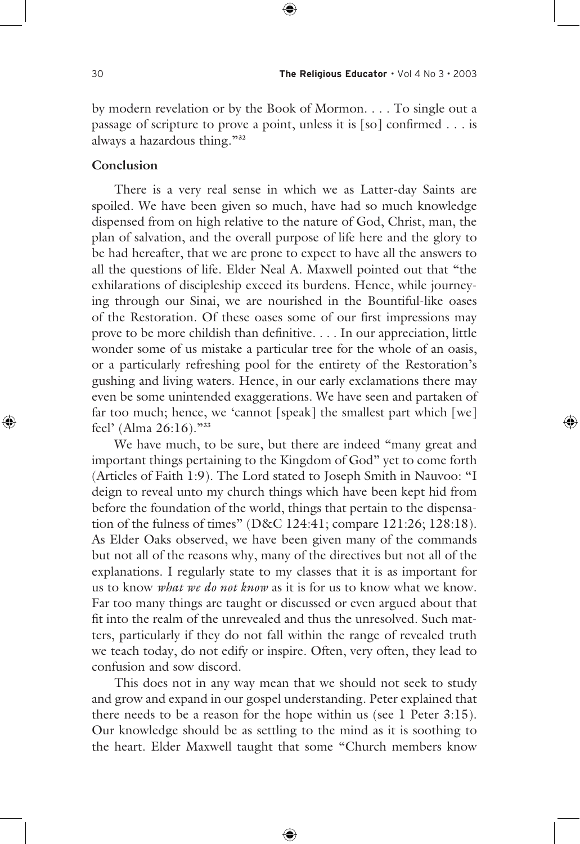by modern revelation or by the Book of Mormon. . . . To single out a passage of scripture to prove a point, unless it is [so] confirmed . . . is always a hazardous thing."**<sup>32</sup>**

#### **Conclusion**

 There is a very real sense in which we as Latter-day Saints are spoiled. We have been given so much, have had so much knowledge dispensed from on high relative to the nature of God, Christ, man, the plan of salvation, and the overall purpose of life here and the glory to be had hereafter, that we are prone to expect to have all the answers to all the questions of life. Elder Neal A. Maxwell pointed out that "the exhilarations of discipleship exceed its burdens. Hence, while journeying through our Sinai, we are nourished in the Bountiful-like oases of the Restoration. Of these oases some of our first impressions may prove to be more childish than definitive. . . . In our appreciation, little wonder some of us mistake a particular tree for the whole of an oasis, or a particularly refreshing pool for the entirety of the Restoration's gushing and living waters. Hence, in our early exclamations there may even be some unintended exaggerations. We have seen and partaken of far too much; hence, we 'cannot [speak] the smallest part which [we] feel' (Alma 26:16)."**<sup>33</sup>**

 We have much, to be sure, but there are indeed "many great and important things pertaining to the Kingdom of God" yet to come forth (Articles of Faith 1:9). The Lord stated to Joseph Smith in Nauvoo: "I deign to reveal unto my church things which have been kept hid from before the foundation of the world, things that pertain to the dispensation of the fulness of times" (D&C 124:41; compare 121:26; 128:18). As Elder Oaks observed, we have been given many of the commands but not all of the reasons why, many of the directives but not all of the explanations. I regularly state to my classes that it is as important for us to know *what we do not know* as it is for us to know what we know. Far too many things are taught or discussed or even argued about that fit into the realm of the unrevealed and thus the unresolved. Such matters, particularly if they do not fall within the range of revealed truth we teach today, do not edify or inspire. Often, very often, they lead to confusion and sow discord.

 This does not in any way mean that we should not seek to study and grow and expand in our gospel understanding. Peter explained that there needs to be a reason for the hope within us (see 1 Peter 3:15). Our knowledge should be as settling to the mind as it is soothing to the heart. Elder Maxwell taught that some "Church members know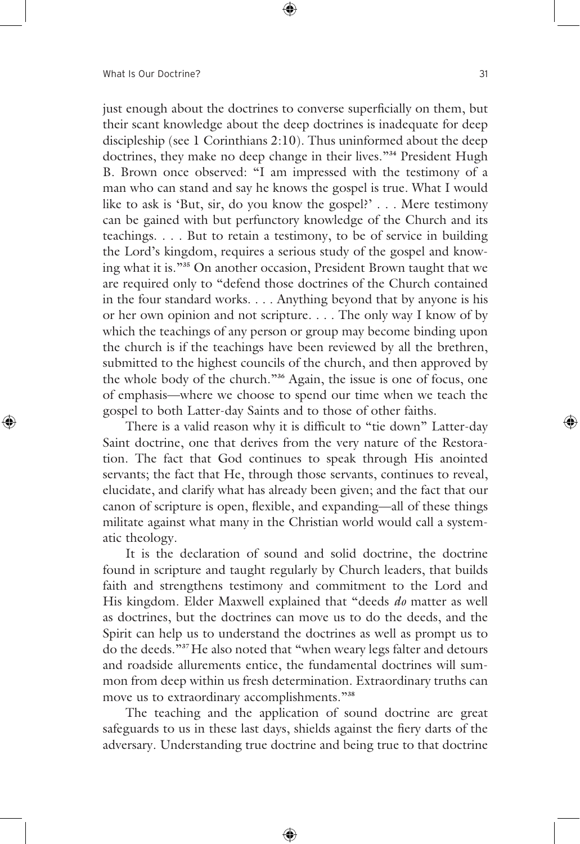just enough about the doctrines to converse superficially on them, but their scant knowledge about the deep doctrines is inadequate for deep discipleship (see 1 Corinthians 2:10). Thus uninformed about the deep doctrines, they make no deep change in their lives."**34** President Hugh B. Brown once observed: "I am impressed with the testimony of a man who can stand and say he knows the gospel is true. What I would like to ask is 'But, sir, do you know the gospel?' . . . Mere testimony can be gained with but perfunctory knowledge of the Church and its teachings. . . . But to retain a testimony, to be of service in building the Lord's kingdom, requires a serious study of the gospel and knowing what it is."**35** On another occasion, President Brown taught that we are required only to "defend those doctrines of the Church contained in the four standard works. . . . Anything beyond that by anyone is his or her own opinion and not scripture. . . . The only way I know of by which the teachings of any person or group may become binding upon the church is if the teachings have been reviewed by all the brethren, submitted to the highest councils of the church, and then approved by the whole body of the church."**36** Again, the issue is one of focus, one of emphasis—where we choose to spend our time when we teach the gospel to both Latter-day Saints and to those of other faiths.

 There is a valid reason why it is difficult to "tie down" Latter-day Saint doctrine, one that derives from the very nature of the Restoration. The fact that God continues to speak through His anointed servants; the fact that He, through those servants, continues to reveal, elucidate, and clarify what has already been given; and the fact that our canon of scripture is open, flexible, and expanding—all of these things militate against what many in the Christian world would call a systematic theology.

 It is the declaration of sound and solid doctrine, the doctrine found in scripture and taught regularly by Church leaders, that builds faith and strengthens testimony and commitment to the Lord and His kingdom. Elder Maxwell explained that "deeds *do* matter as well as doctrines, but the doctrines can move us to do the deeds, and the Spirit can help us to understand the doctrines as well as prompt us to do the deeds."**37** He also noted that "when weary legs falter and detours and roadside allurements entice, the fundamental doctrines will summon from deep within us fresh determination. Extraordinary truths can move us to extraordinary accomplishments."**<sup>38</sup>**

 The teaching and the application of sound doctrine are great safeguards to us in these last days, shields against the fiery darts of the adversary. Understanding true doctrine and being true to that doctrine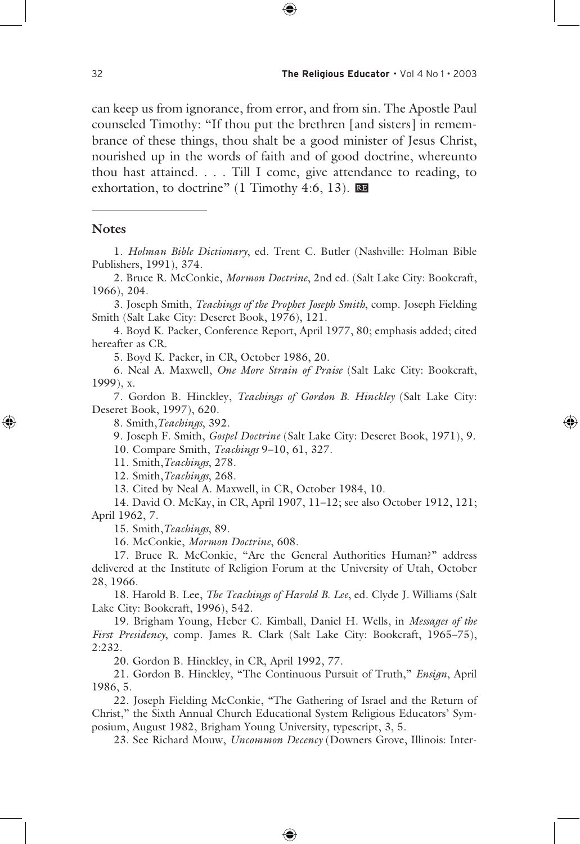can keep us from ignorance, from error, and from sin. The Apostle Paul counseled Timothy: "If thou put the brethren [and sisters] in remembrance of these things, thou shalt be a good minister of Jesus Christ, nourished up in the words of faith and of good doctrine, whereunto thou hast attained. . . . Till I come, give attendance to reading, to exhortation, to doctrine" (1 Timothy 4:6, 13).

#### **Notes**

1. *Holman Bible Dictionary*, ed. Trent C. Butler (Nashville: Holman Bible Publishers, 1991), 374.

2. Bruce R. McConkie, *Mormon Doctrine*, 2nd ed. (Salt Lake City: Bookcraft, 1966), 204.

3. Joseph Smith, *Teachings of the Prophet Joseph Smith*, comp. Joseph Fielding Smith (Salt Lake City: Deseret Book, 1976), 121.

4. Boyd K. Packer, Conference Report, April 1977, 80; emphasis added; cited hereafter as CR.

5. Boyd K. Packer, in CR, October 1986, 20.

6. Neal A. Maxwell, *One More Strain of Praise* (Salt Lake City: Bookcraft, 1999), x.

7. Gordon B. Hinckley, *Teachings of Gordon B. Hinckley* (Salt Lake City: Deseret Book, 1997), 620.

8. Smith,*Teachings*, 392.

9. Joseph F. Smith, *Gospel Doctrine* (Salt Lake City: Deseret Book, 1971), 9.

10. Compare Smith, *Teachings* 9–10, 61, 327.

11. Smith,*Teachings*, 278.

12. Smith,*Teachings*, 268.

13. Cited by Neal A. Maxwell, in CR, October 1984, 10.

14. David O. McKay, in CR, April 1907, 11–12; see also October 1912, 121; April 1962, 7.

15. Smith,*Teachings*, 89.

16. McConkie, *Mormon Doctrine*, 608.

17. Bruce R. McConkie, "Are the General Authorities Human?" address delivered at the Institute of Religion Forum at the University of Utah, October 28, 1966.

18. Harold B. Lee, *The Teachings of Harold B. Lee*, ed. Clyde J. Williams (Salt Lake City: Bookcraft, 1996), 542.

19. Brigham Young, Heber C. Kimball, Daniel H. Wells, in *Messages of the First Presidency*, comp. James R. Clark (Salt Lake City: Bookcraft, 1965–75), 2:232.

20. Gordon B. Hinckley, in CR, April 1992, 77.

21. Gordon B. Hinckley, "The Continuous Pursuit of Truth," *Ensign*, April 1986, 5.

22. Joseph Fielding McConkie, "The Gathering of Israel and the Return of Christ," the Sixth Annual Church Educational System Religious Educators' Symposium, August 1982, Brigham Young University, typescript, 3, 5.

23. See Richard Mouw, *Uncommon Decency* (Downers Grove, Illinois: Inter-